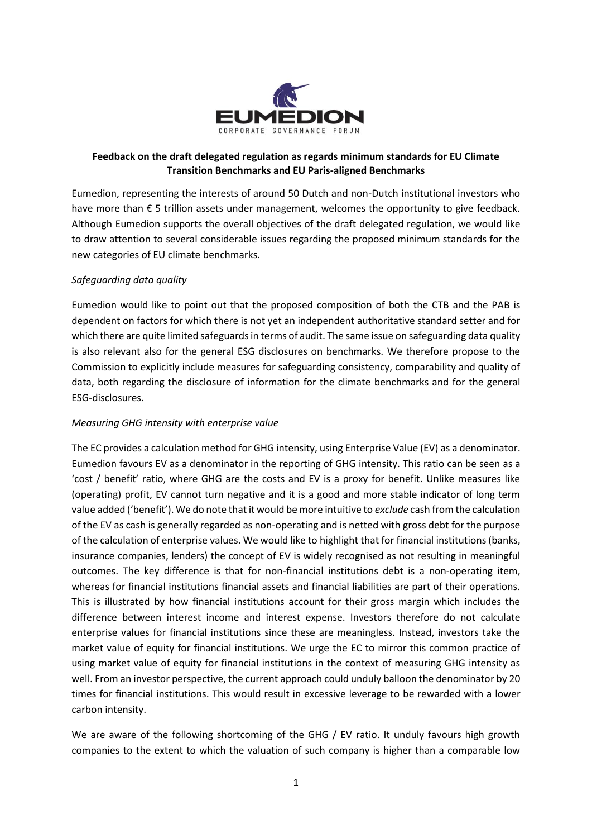

# **Feedback on the draft delegated regulation as regards minimum standards for EU Climate Transition Benchmarks and EU Paris-aligned Benchmarks**

Eumedion, representing the interests of around 50 Dutch and non-Dutch institutional investors who have more than € 5 trillion assets under management, welcomes the opportunity to give feedback. Although Eumedion supports the overall objectives of the draft delegated regulation, we would like to draw attention to several considerable issues regarding the proposed minimum standards for the new categories of EU climate benchmarks.

## *Safeguarding data quality*

Eumedion would like to point out that the proposed composition of both the CTB and the PAB is dependent on factors for which there is not yet an independent authoritative standard setter and for which there are quite limited safeguards in terms of audit. The same issue on safeguarding data quality is also relevant also for the general ESG disclosures on benchmarks. We therefore propose to the Commission to explicitly include measures for safeguarding consistency, comparability and quality of data, both regarding the disclosure of information for the climate benchmarks and for the general ESG-disclosures.

### *Measuring GHG intensity with enterprise value*

The EC provides a calculation method for GHG intensity, using Enterprise Value (EV) as a denominator. Eumedion favours EV as a denominator in the reporting of GHG intensity. This ratio can be seen as a 'cost / benefit' ratio, where GHG are the costs and EV is a proxy for benefit. Unlike measures like (operating) profit, EV cannot turn negative and it is a good and more stable indicator of long term value added ('benefit'). We do note that it would be more intuitive to *exclude* cash from the calculation of the EV as cash is generally regarded as non-operating and is netted with gross debt for the purpose of the calculation of enterprise values. We would like to highlight that for financial institutions (banks, insurance companies, lenders) the concept of EV is widely recognised as not resulting in meaningful outcomes. The key difference is that for non-financial institutions debt is a non-operating item, whereas for financial institutions financial assets and financial liabilities are part of their operations. This is illustrated by how financial institutions account for their gross margin which includes the difference between interest income and interest expense. Investors therefore do not calculate enterprise values for financial institutions since these are meaningless. Instead, investors take the market value of equity for financial institutions. We urge the EC to mirror this common practice of using market value of equity for financial institutions in the context of measuring GHG intensity as well. From an investor perspective, the current approach could unduly balloon the denominator by 20 times for financial institutions. This would result in excessive leverage to be rewarded with a lower carbon intensity.

We are aware of the following shortcoming of the GHG / EV ratio. It unduly favours high growth companies to the extent to which the valuation of such company is higher than a comparable low